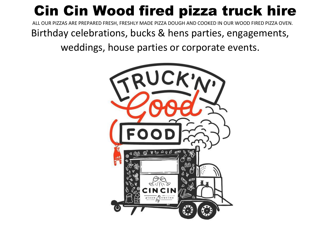# Cin Cin Wood fired pizza truck hire

ALL OUR PIZZAS ARE PREPARED FRESH, FRESHLY MADE PIZZA DOUGH AND COOKED IN OUR WOOD FIRED PIZZA OVEN.

Birthday celebrations, bucks & hens parties, engagements,

weddings, house parties or corporate events.